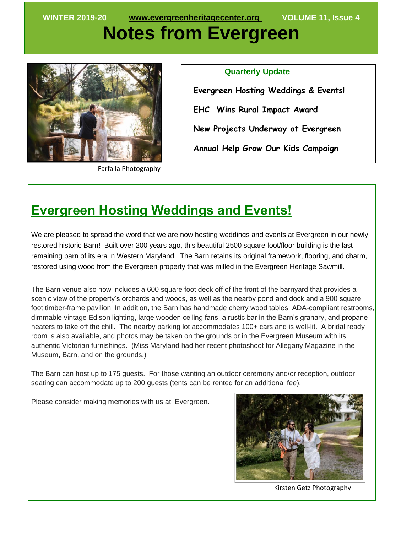# **Notes from Evergreen**



Farfalla Photography

 **Quarterly Update Evergreen Hosting Weddings & Events! EHC Wins Rural Impact Award New Projects Underway at Evergreen Annual Help Grow Our Kids Campaign**   $\overline{a}$ 

#### **Evergreen Hosting Weddings and Events!**

We are pleased to spread the word that we are now hosting weddings and events at Evergreen in our newly restored historic Barn! Built over 200 years ago, this beautiful 2500 square foot/floor building is the last remaining barn of its era in Western Maryland. The Barn retains its original framework, flooring, and charm, restored using wood from the Evergreen property that was milled in the Evergreen Heritage Sawmill.

The Barn venue also now includes a 600 square foot deck off of the front of the barnyard that provides a scenic view of the property's orchards and woods, as well as the nearby pond and dock and a 900 square foot timber-frame pavilion. In addition, the Barn has handmade cherry wood tables, ADA-compliant restrooms, dimmable vintage Edison lighting, large wooden ceiling fans, a rustic bar in the Barn's granary, and propane heaters to take off the chill. The nearby parking lot accommodates 100+ cars and is well-lit. A bridal ready room is also available, and photos may be taken on the grounds or in the Evergreen Museum with its authentic Victorian furnishings. (Miss Maryland had her recent photoshoot for Allegany Magazine in the Museum, Barn, and on the grounds.)

The Barn can host up to 175 guests. For those wanting an outdoor ceremony and/or reception, outdoor seating can accommodate up to 200 guests (tents can be rented for an additional fee).

Please consider making memories with us at Evergreen.



Kirsten Getz Photography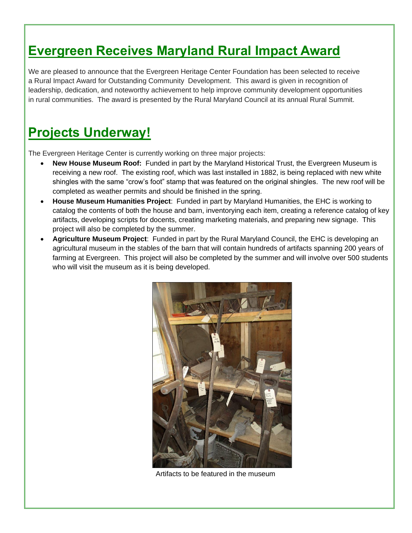### **Evergreen Receives Maryland Rural Impact Award**

We are pleased to announce that the Evergreen Heritage Center Foundation has been selected to receive a Rural Impact Award for Outstanding Community Development. This award is given in recognition of leadership, dedication, and noteworthy achievement to help improve community development opportunities in rural communities. The award is presented by the Rural Maryland Council at its annual Rural Summit.

#### **Projects Underway!**

The Evergreen Heritage Center is currently working on three major projects:

- **New House Museum Roof:** Funded in part by the Maryland Historical Trust, the Evergreen Museum is receiving a new roof. The existing roof, which was last installed in 1882, is being replaced with new white shingles with the same "crow's foot" stamp that was featured on the original shingles. The new roof will be completed as weather permits and should be finished in the spring.
- **House Museum Humanities Project**: Funded in part by Maryland Humanities, the EHC is working to catalog the contents of both the house and barn, inventorying each item, creating a reference catalog of key artifacts, developing scripts for docents, creating marketing materials, and preparing new signage. This project will also be completed by the summer.
- **Agriculture Museum Project**: Funded in part by the Rural Maryland Council, the EHC is developing an agricultural museum in the stables of the barn that will contain hundreds of artifacts spanning 200 years of farming at Evergreen. This project will also be completed by the summer and will involve over 500 students who will visit the museum as it is being developed.



Artifacts to be featured in the museum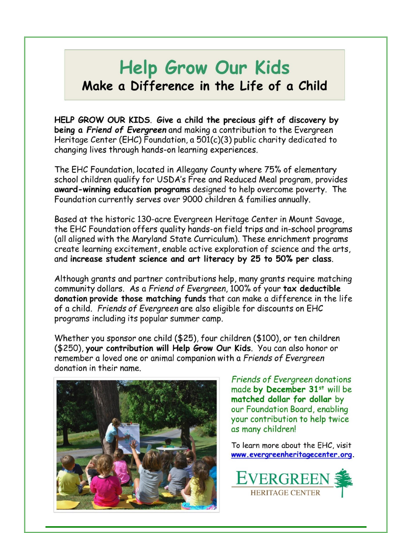## **Help Grow Our Kids** Make a Difference in the Life of a Child

HELP GROW OUR KIDS. Give a child the precious gift of discovery by being a Friend of Evergreen and making a contribution to the Evergreen Heritage Center (EHC) Foundation, a  $501(c)(3)$  public charity dedicated to changing lives through hands-on learning experiences.

The EHC Foundation, located in Allegany County where 75% of elementary school children qualify for USDA's Free and Reduced Meal program, provides award-winning education programs designed to help overcome poverty. The Foundation currently serves over 9000 children & families annually.

Based at the historic 130-acre Evergreen Heritage Center in Mount Savage. the EHC Foundation offers quality hands-on field trips and in-school programs (all aligned with the Maryland State Curriculum). These enrichment programs create learning excitement, enable active exploration of science and the arts, and increase student science and art literacy by 25 to 50% per class.

Although grants and partner contributions help, many grants require matching community dollars. As a Friend of Evergreen, 100% of your tax deductible donation provide those matching funds that can make a difference in the life of a child. Friends of Evergreen are also eligible for discounts on EHC programs including its popular summer camp.

Whether you sponsor one child (\$25), four children (\$100), or ten children (\$250), your contribution will Help Grow Our Kids. You can also honor or remember a loved one or animal companion with a Friends of Evergreen donation in their name



**Friends of Evergreen donations** made by December 31st will be matched dollar for dollar by our Foundation Board, enabling your contribution to help twice as many children!

To learn more about the EHC, visit www.evergreenheritagecenter.org.